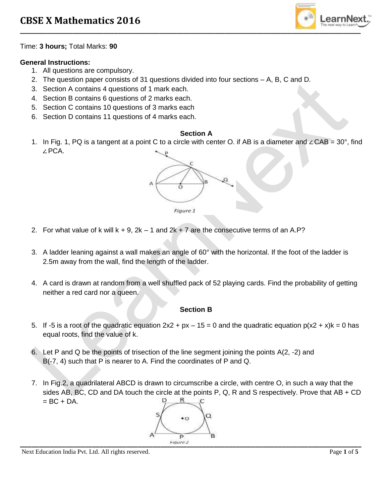

Time: **3 hours;** Total Marks: **90**

# **General Instructions:**

- 1. All questions are compulsory.
- 2. The question paper consists of 31 questions divided into four sections A, B, C and D.
- 3. Section A contains 4 questions of 1 mark each.
- 4. Section B contains 6 questions of 2 marks each.
- 5. Section C contains 10 questions of 3 marks each
- 6. Section D contains 11 questions of 4 marks each.

#### **Section A**

1. In Fig. 1, PQ is a tangent at a point C to a circle with center O. if AB is a diameter and ∠CAB = 30°, find ∠PCA.



- 2. For what value of k will  $k + 9$ ,  $2k 1$  and  $2k + 7$  are the consecutive terms of an A.P?
- 3. A ladder leaning against a wall makes an angle of 60° with the horizontal. If the foot of the ladder is 2.5m away from the wall, find the length of the ladder.
- 4. A card is drawn at random from a well shuffled pack of 52 playing cards. Find the probability of getting neither a red card nor a queen.

## **Section B**

- 5. If -5 is a root of the quadratic equation  $2x^2 + px 15 = 0$  and the quadratic equation  $p(x^2 + x)k = 0$  has equal roots, find the value of k.
- 6. Let P and Q be the points of trisection of the line segment joining the points A(2, -2) and B(-7, 4) such that P is nearer to A. Find the coordinates of P and Q.
- 7. In Fig.2, a quadrilateral ABCD is drawn to circumscribe a circle, with centre O, in such a way that the sides AB, BC, CD and DA touch the circle at the points P, Q, R and S respectively. Prove that AB + CD  $= BC + DA$ . R

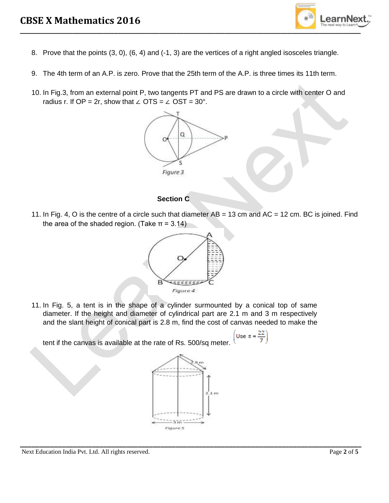

- 8. Prove that the points (3, 0), (6, 4) and (-1, 3) are the vertices of a right angled isosceles triangle.
- 9. The 4th term of an A.P. is zero. Prove that the 25th term of the A.P. is three times its 11th term.
- 10. In Fig.3, from an external point P, two tangents PT and PS are drawn to a circle with center O and radius r. If OP = 2r, show that ∠ OTS =  $\angle$  OST = 30°.



## **Section C**

11. In Fig. 4, O is the centre of a circle such that diameter  $AB = 13$  cm and  $AC = 12$  cm. BC is joined. Find the area of the shaded region. (Take  $\pi$  = 3.14)



11. In Fig. 5, a tent is in the shape of a cylinder surmounted by a conical top of same diameter. If the height and diameter of cylindrical part are 2.1 m and 3 m respectively and the slant height of conical part is 2.8 m, find the cost of canvas needed to make the

Use  $\pi$  = tent if the canvas is available at the rate of Rs. 500/sq meter.



**\_\_\_\_\_\_\_\_\_\_\_\_\_\_\_\_\_\_\_\_\_\_\_\_\_\_\_\_\_\_\_\_\_\_\_\_\_\_\_\_\_\_\_\_\_\_\_\_\_\_\_\_\_\_\_\_\_\_\_\_\_\_\_\_\_\_\_\_\_\_\_\_\_\_\_\_\_\_\_\_\_\_\_\_\_\_\_\_\_\_**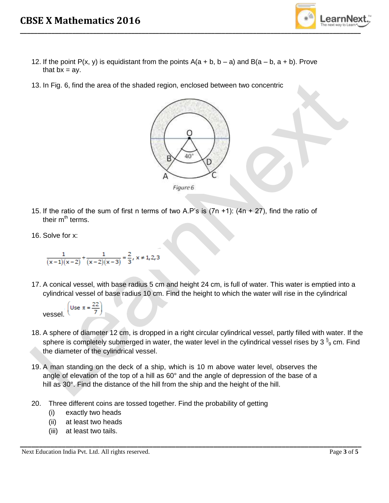

- 12. If the point  $P(x, y)$  is equidistant from the points  $A(a + b, b a)$  and  $B(a b, a + b)$ . Prove that  $bx = ay$ .
- 13. In Fig. 6, find the area of the shaded region, enclosed between two concentric



- 15. If the ratio of the sum of first n terms of two A.P's is  $(7n +1)$ :  $(4n + 27)$ , find the ratio of their  $m<sup>th</sup>$  terms.
- 16. Solve for x:

$$
\frac{1}{(x-1)(x-2)} + \frac{1}{(x-2)(x-3)} = \frac{2}{3}, x \neq 1, 2, 3
$$

17. A conical vessel, with base radius 5 cm and height 24 cm, is full of water. This water is emptied into a cylindrical vessel of base radius 10 cm. Find the height to which the water will rise in the cylindrical

Use  $\pi = \frac{22}{7}$ vessel.

18. A sphere of diameter 12 cm, is dropped in a right circular cylindrical vessel, partly filled with water. If the sphere is completely submerged in water, the water level in the cylindrical vessel rises by 3  $\frac{5}{9}$  cm. Find the diameter of the cylindrical vessel.

**\_\_\_\_\_\_\_\_\_\_\_\_\_\_\_\_\_\_\_\_\_\_\_\_\_\_\_\_\_\_\_\_\_\_\_\_\_\_\_\_\_\_\_\_\_\_\_\_\_\_\_\_\_\_\_\_\_\_\_\_\_\_\_\_\_\_\_\_\_\_\_\_\_\_\_\_\_\_\_\_\_\_\_\_\_\_\_\_\_\_**

- 19. A man standing on the deck of a ship, which is 10 m above water level, observes the angle of elevation of the top of a hill as 60° and the angle of depression of the base of a hill as 30°. Find the distance of the hill from the ship and the height of the hill.
- 20. Three different coins are tossed together. Find the probability of getting
	- (i) exactly two heads
	- (ii) at least two heads
	- (iii) at least two tails.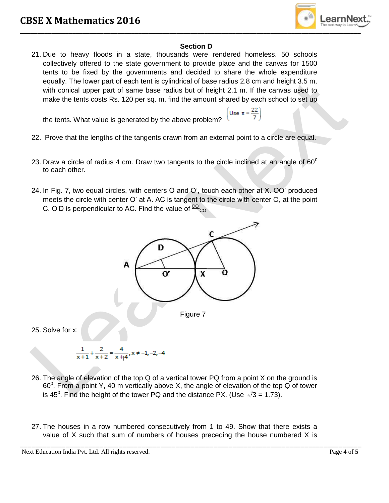

#### **Section D**

21. Due to heavy floods in a state, thousands were rendered homeless. 50 schools collectively offered to the state government to provide place and the canvas for 1500 tents to be fixed by the governments and decided to share the whole expenditure equally. The lower part of each tent is cylindrical of base radius 2.8 cm and height 3.5 m, with conical upper part of same base radius but of height 2.1 m. If the canvas used to make the tents costs Rs. 120 per sq. m, find the amount shared by each school to set up

the tents. What value is generated by the above problem?

- Use  $\pi = \frac{22}{7}$
- 22. Prove that the lengths of the tangents drawn from an external point to a circle are equal.
- 23. Draw a circle of radius 4 cm. Draw two tangents to the circle inclined at an angle of 60 $^{\circ}$ to each other.
- 24. In Fig. 7, two equal circles, with centers O and O', touch each other at X. OO' produced meets the circle with center O' at A. AC is tangent to the circle with center O, at the point C. O'D is perpendicular to AC. Find the value of  $\frac{DO}{CO}$



- 26. The angle of elevation of the top Q of a vertical tower PQ from a point X on the ground is 60<sup>0</sup>. From a point Y, 40 m vertically above X, the angle of elevation of the top Q of tower is 45<sup>0</sup>. Find the height of the tower PQ and the distance PX. (Use  $\sqrt{3}$  = 1.73).
- 27. The houses in a row numbered consecutively from 1 to 49. Show that there exists a value of X such that sum of numbers of houses preceding the house numbered X is

**\_\_\_\_\_\_\_\_\_\_\_\_\_\_\_\_\_\_\_\_\_\_\_\_\_\_\_\_\_\_\_\_\_\_\_\_\_\_\_\_\_\_\_\_\_\_\_\_\_\_\_\_\_\_\_\_\_\_\_\_\_\_\_\_\_\_\_\_\_\_\_\_\_\_\_\_\_\_\_\_\_\_\_\_\_\_\_\_\_\_** Next Education India Pvt. Ltd. All rights reserved. Page 4 of 5